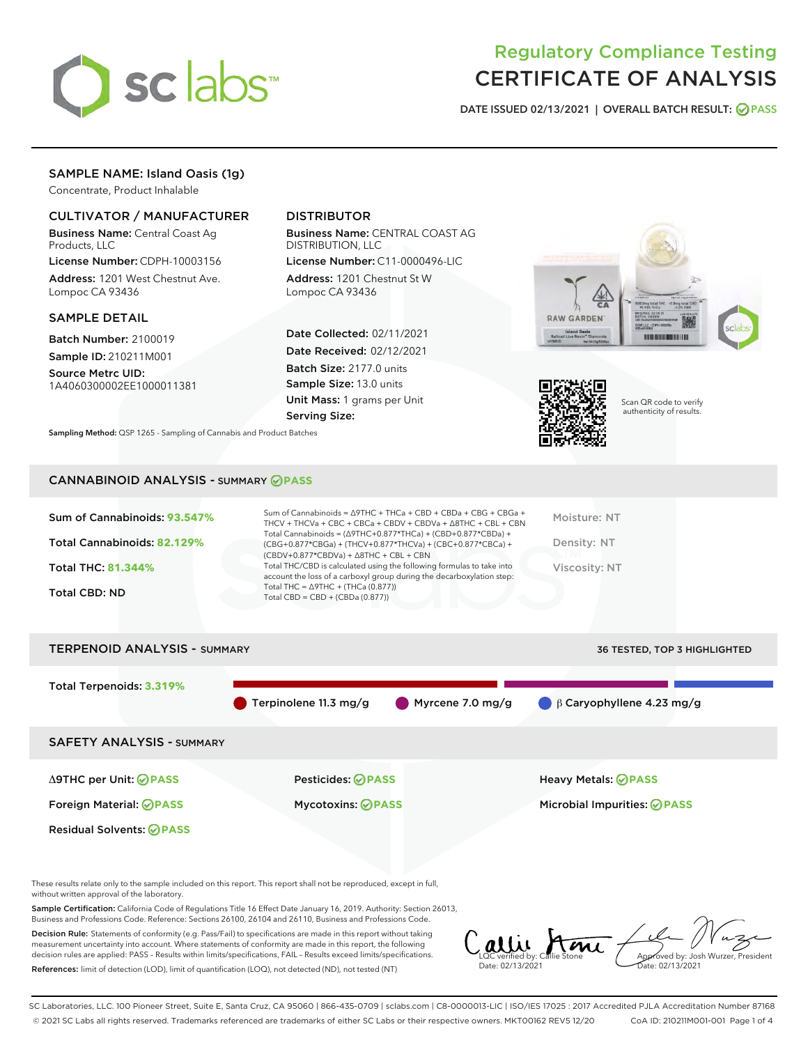

# Regulatory Compliance Testing CERTIFICATE OF ANALYSIS

DATE ISSUED 02/13/2021 | OVERALL BATCH RESULT: @ PASS

# SAMPLE NAME: Island Oasis (1g)

Concentrate, Product Inhalable

# CULTIVATOR / MANUFACTURER

Business Name: Central Coast Ag Products, LLC

License Number: CDPH-10003156 Address: 1201 West Chestnut Ave. Lompoc CA 93436

# SAMPLE DETAIL

Batch Number: 2100019 Sample ID: 210211M001

Source Metrc UID: 1A4060300002EE1000011381

# DISTRIBUTOR

Business Name: CENTRAL COAST AG DISTRIBUTION, LLC

License Number: C11-0000496-LIC Address: 1201 Chestnut St W Lompoc CA 93436

Date Collected: 02/11/2021 Date Received: 02/12/2021 Batch Size: 2177.0 units Sample Size: 13.0 units Unit Mass: 1 grams per Unit Serving Size:





Scan QR code to verify authenticity of results.

# CANNABINOID ANALYSIS - SUMMARY **PASS**

Sampling Method: QSP 1265 - Sampling of Cannabis and Product Batches

| Sum of Cannabinoids: 93.547%<br>Total Cannabinoids: 82.129% | Sum of Cannabinoids = $\triangle$ 9THC + THCa + CBD + CBDa + CBG + CBGa +<br>THCV + THCVa + CBC + CBCa + CBDV + CBDVa + $\land$ 8THC + CBL + CBN<br>Total Cannabinoids = $(\Delta$ 9THC+0.877*THCa) + (CBD+0.877*CBDa) +<br>(CBG+0.877*CBGa) + (THCV+0.877*THCVa) + (CBC+0.877*CBCa) +<br>$(CBDV+0.877*CBDVa) + \Delta 8THC + CBL + CBN$ | Moisture: NT<br>Density: NT |
|-------------------------------------------------------------|------------------------------------------------------------------------------------------------------------------------------------------------------------------------------------------------------------------------------------------------------------------------------------------------------------------------------------------|-----------------------------|
| Total THC: 81.344%                                          | Total THC/CBD is calculated using the following formulas to take into<br>account the loss of a carboxyl group during the decarboxylation step:                                                                                                                                                                                           | Viscosity: NT               |
| Total CBD: ND                                               | Total THC = $\triangle$ 9THC + (THCa (0.877))<br>Total CBD = $CBD + (CBDa (0.877))$                                                                                                                                                                                                                                                      |                             |

TERPENOID ANALYSIS - SUMMARY 36 TESTED, TOP 3 HIGHLIGHTED

# Total Terpenoids: **3.319%** Terpinolene 11.3 mg/g (Allene 7.0 mg/g (B) β Caryophyllene 4.23 mg/g SAFETY ANALYSIS - SUMMARY Δ9THC per Unit: **PASS** Pesticides: **PASS** Heavy Metals: **PASS** Foreign Material: **PASS** Mycotoxins: **PASS** Microbial Impurities: **PASS** Residual Solvents: **PASS**

These results relate only to the sample included on this report. This report shall not be reproduced, except in full, without written approval of the laboratory.

Sample Certification: California Code of Regulations Title 16 Effect Date January 16, 2019. Authority: Section 26013, Business and Professions Code. Reference: Sections 26100, 26104 and 26110, Business and Professions Code.

Decision Rule: Statements of conformity (e.g. Pass/Fail) to specifications are made in this report without taking measurement uncertainty into account. Where statements of conformity are made in this report, the following decision rules are applied: PASS – Results within limits/specifications, FAIL – Results exceed limits/specifications. References: limit of detection (LOD), limit of quantification (LOQ), not detected (ND), not tested (NT)

LQC verified by: Callie Stone Date: 02/13/2021 Aved by: Josh Wurzer, President Date: 02/13/2021

SC Laboratories, LLC. 100 Pioneer Street, Suite E, Santa Cruz, CA 95060 | 866-435-0709 | sclabs.com | C8-0000013-LIC | ISO/IES 17025 : 2017 Accredited PJLA Accreditation Number 87168 © 2021 SC Labs all rights reserved. Trademarks referenced are trademarks of either SC Labs or their respective owners. MKT00162 REV5 12/20 CoA ID: 210211M001-001 Page 1 of 4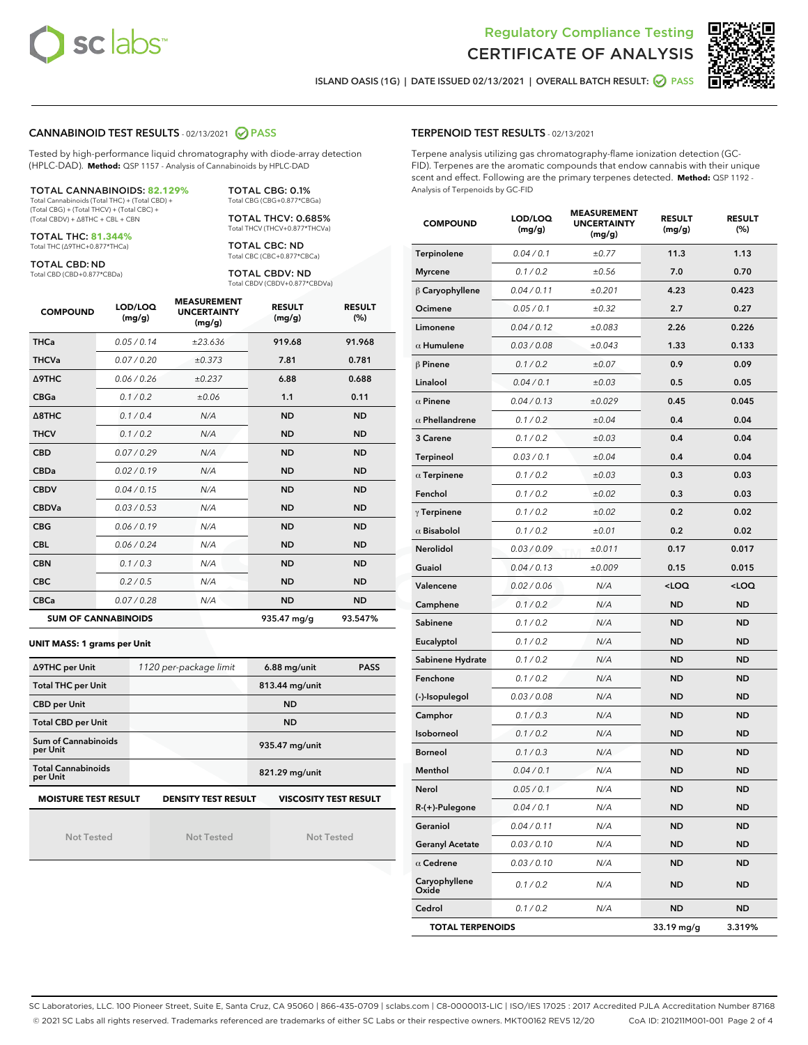



ISLAND OASIS (1G) | DATE ISSUED 02/13/2021 | OVERALL BATCH RESULT: ◯ PASS

#### CANNABINOID TEST RESULTS - 02/13/2021 2 PASS

Tested by high-performance liquid chromatography with diode-array detection (HPLC-DAD). **Method:** QSP 1157 - Analysis of Cannabinoids by HPLC-DAD

#### TOTAL CANNABINOIDS: **82.129%**

Total Cannabinoids (Total THC) + (Total CBD) + (Total CBG) + (Total THCV) + (Total CBC) + (Total CBDV) + ∆8THC + CBL + CBN

TOTAL THC: **81.344%** Total THC (∆9THC+0.877\*THCa)

TOTAL CBD: ND

Total CBD (CBD+0.877\*CBDa)

TOTAL CBG: 0.1% Total CBG (CBG+0.877\*CBGa)

TOTAL THCV: 0.685% Total THCV (THCV+0.877\*THCVa)

TOTAL CBC: ND Total CBC (CBC+0.877\*CBCa)

TOTAL CBDV: ND Total CBDV (CBDV+0.877\*CBDVa)

| <b>COMPOUND</b>  | LOD/LOQ<br>(mg/g)          | <b>MEASUREMENT</b><br><b>UNCERTAINTY</b><br>(mg/g) | <b>RESULT</b><br>(mg/g) | <b>RESULT</b><br>(%) |
|------------------|----------------------------|----------------------------------------------------|-------------------------|----------------------|
| <b>THCa</b>      | 0.05/0.14                  | ±23.636                                            | 919.68                  | 91.968               |
| <b>THCVa</b>     | 0.07 / 0.20                | ±0.373                                             | 7.81                    | 0.781                |
| <b>A9THC</b>     | 0.06 / 0.26                | ±0.237                                             | 6.88                    | 0.688                |
| <b>CBGa</b>      | 0.1/0.2                    | ±0.06                                              | 1.1                     | 0.11                 |
| $\triangle$ 8THC | 0.1/0.4                    | N/A                                                | <b>ND</b>               | <b>ND</b>            |
| <b>THCV</b>      | 0.1/0.2                    | N/A                                                | <b>ND</b>               | <b>ND</b>            |
| <b>CBD</b>       | 0.07/0.29                  | N/A                                                | <b>ND</b>               | <b>ND</b>            |
| <b>CBDa</b>      | 0.02 / 0.19                | N/A                                                | <b>ND</b>               | <b>ND</b>            |
| <b>CBDV</b>      | 0.04 / 0.15                | N/A                                                | <b>ND</b>               | <b>ND</b>            |
| <b>CBDVa</b>     | 0.03/0.53                  | N/A                                                | <b>ND</b>               | <b>ND</b>            |
| <b>CBG</b>       | 0.06/0.19                  | N/A                                                | <b>ND</b>               | <b>ND</b>            |
| <b>CBL</b>       | 0.06 / 0.24                | N/A                                                | <b>ND</b>               | <b>ND</b>            |
| <b>CBN</b>       | 0.1 / 0.3                  | N/A                                                | <b>ND</b>               | <b>ND</b>            |
| <b>CBC</b>       | 0.2 / 0.5                  | N/A                                                | <b>ND</b>               | <b>ND</b>            |
| <b>CBCa</b>      | 0.07/0.28                  | N/A                                                | <b>ND</b>               | <b>ND</b>            |
|                  | <b>SUM OF CANNABINOIDS</b> |                                                    | 935.47 mg/g             | 93.547%              |

#### **UNIT MASS: 1 grams per Unit**

| ∆9THC per Unit                                                                            | 1120 per-package limit | $6.88$ mg/unit<br><b>PASS</b> |  |  |  |
|-------------------------------------------------------------------------------------------|------------------------|-------------------------------|--|--|--|
| <b>Total THC per Unit</b>                                                                 |                        | 813.44 mg/unit                |  |  |  |
| <b>CBD per Unit</b>                                                                       |                        | <b>ND</b>                     |  |  |  |
| <b>Total CBD per Unit</b>                                                                 |                        | <b>ND</b>                     |  |  |  |
| Sum of Cannabinoids<br>per Unit                                                           |                        | 935.47 mg/unit                |  |  |  |
| <b>Total Cannabinoids</b><br>per Unit                                                     |                        | 821.29 mg/unit                |  |  |  |
| <b>MOISTURE TEST RESULT</b><br><b>VISCOSITY TEST RESULT</b><br><b>DENSITY TEST RESULT</b> |                        |                               |  |  |  |

Not Tested

Not Tested

Not Tested

#### TERPENOID TEST RESULTS - 02/13/2021

Terpene analysis utilizing gas chromatography-flame ionization detection (GC-FID). Terpenes are the aromatic compounds that endow cannabis with their unique scent and effect. Following are the primary terpenes detected. **Method:** QSP 1192 - Analysis of Terpenoids by GC-FID

| <b>COMPOUND</b>         | LOD/LOQ<br>(mg/g) | <b>MEASUREMENT</b><br><b>UNCERTAINTY</b><br>(mg/g) | <b>RESULT</b><br>(mg/g)                         | <b>RESULT</b><br>(%) |
|-------------------------|-------------------|----------------------------------------------------|-------------------------------------------------|----------------------|
| Terpinolene             | 0.04 / 0.1        | ±0.77                                              | 11.3                                            | 1.13                 |
| <b>Myrcene</b>          | 0.1 / 0.2         | ±0.56                                              | 7.0                                             | 0.70                 |
| $\upbeta$ Caryophyllene | 0.04 / 0.11       | ±0.201                                             | 4.23                                            | 0.423                |
| Ocimene                 | 0.05 / 0.1        | ±0.32                                              | 2.7                                             | 0.27                 |
| Limonene                | 0.04 / 0.12       | ±0.083                                             | 2.26                                            | 0.226                |
| $\alpha$ Humulene       | 0.03 / 0.08       | ±0.043                                             | 1.33                                            | 0.133                |
| $\beta$ Pinene          | 0.1 / 0.2         | ±0.07                                              | 0.9                                             | 0.09                 |
| Linalool                | 0.04 / 0.1        | ±0.03                                              | 0.5                                             | 0.05                 |
| $\alpha$ Pinene         | 0.04 / 0.13       | ±0.029                                             | 0.45                                            | 0.045                |
| $\alpha$ Phellandrene   | 0.1 / 0.2         | ±0.04                                              | 0.4                                             | 0.04                 |
| 3 Carene                | 0.1 / 0.2         | ±0.03                                              | 0.4                                             | 0.04                 |
| <b>Terpineol</b>        | 0.03 / 0.1        | ±0.04                                              | 0.4                                             | 0.04                 |
| $\alpha$ Terpinene      | 0.1 / 0.2         | ±0.03                                              | 0.3                                             | 0.03                 |
| Fenchol                 | 0.1 / 0.2         | ±0.02                                              | 0.3                                             | 0.03                 |
| $\gamma$ Terpinene      | 0.1 / 0.2         | ±0.02                                              | 0.2                                             | 0.02                 |
| $\alpha$ Bisabolol      | 0.1 / 0.2         | ±0.01                                              | 0.2                                             | 0.02                 |
| <b>Nerolidol</b>        | 0.03 / 0.09       | ±0.011                                             | 0.17                                            | 0.017                |
| Guaiol                  | 0.04 / 0.13       | ±0.009                                             | 0.15                                            | 0.015                |
| Valencene               | 0.02 / 0.06       | N/A                                                | <loq< th=""><th><loq< th=""></loq<></th></loq<> | <loq< th=""></loq<>  |
| Camphene                | 0.1 / 0.2         | N/A                                                | <b>ND</b>                                       | <b>ND</b>            |
| Sabinene                | 0.1 / 0.2         | N/A                                                | <b>ND</b>                                       | <b>ND</b>            |
| Eucalyptol              | 0.1 / 0.2         | N/A                                                | ND                                              | <b>ND</b>            |
| Sabinene Hydrate        | 0.1 / 0.2         | N/A                                                | <b>ND</b>                                       | <b>ND</b>            |
| Fenchone                | 0.1 / 0.2         | N/A                                                | <b>ND</b>                                       | <b>ND</b>            |
| (-)-Isopulegol          | 0.03 / 0.08       | N/A                                                | ND                                              | <b>ND</b>            |
| Camphor                 | 0.1 / 0.3         | N/A                                                | <b>ND</b>                                       | <b>ND</b>            |
| Isoborneol              | 0.1 / 0.2         | N/A                                                | ND                                              | <b>ND</b>            |
| <b>Borneol</b>          | 0.1 / 0.3         | N/A                                                | ND                                              | ND                   |
| Menthol                 | 0.04 / 0.1        | N/A                                                | <b>ND</b>                                       | <b>ND</b>            |
| Nerol                   | 0.05 / 0.1        | N/A                                                | ND                                              | <b>ND</b>            |
| R-(+)-Pulegone          | 0.04 / 0.1        | N/A                                                | ND                                              | ND                   |
| Geraniol                | 0.04 / 0.11       | N/A                                                | <b>ND</b>                                       | ND                   |
| <b>Geranyl Acetate</b>  | 0.03 / 0.10       | N/A                                                | ND                                              | ND                   |
| $\alpha$ Cedrene        | 0.03 / 0.10       | N/A                                                | ND                                              | ND                   |
| Caryophyllene<br>Oxide  | 0.1 / 0.2         | N/A                                                | ND                                              | <b>ND</b>            |
| Cedrol                  | 0.1 / 0.2         | N/A                                                | <b>ND</b>                                       | ND                   |
| <b>TOTAL TERPENOIDS</b> |                   |                                                    | 33.19 mg/g                                      | 3.319%               |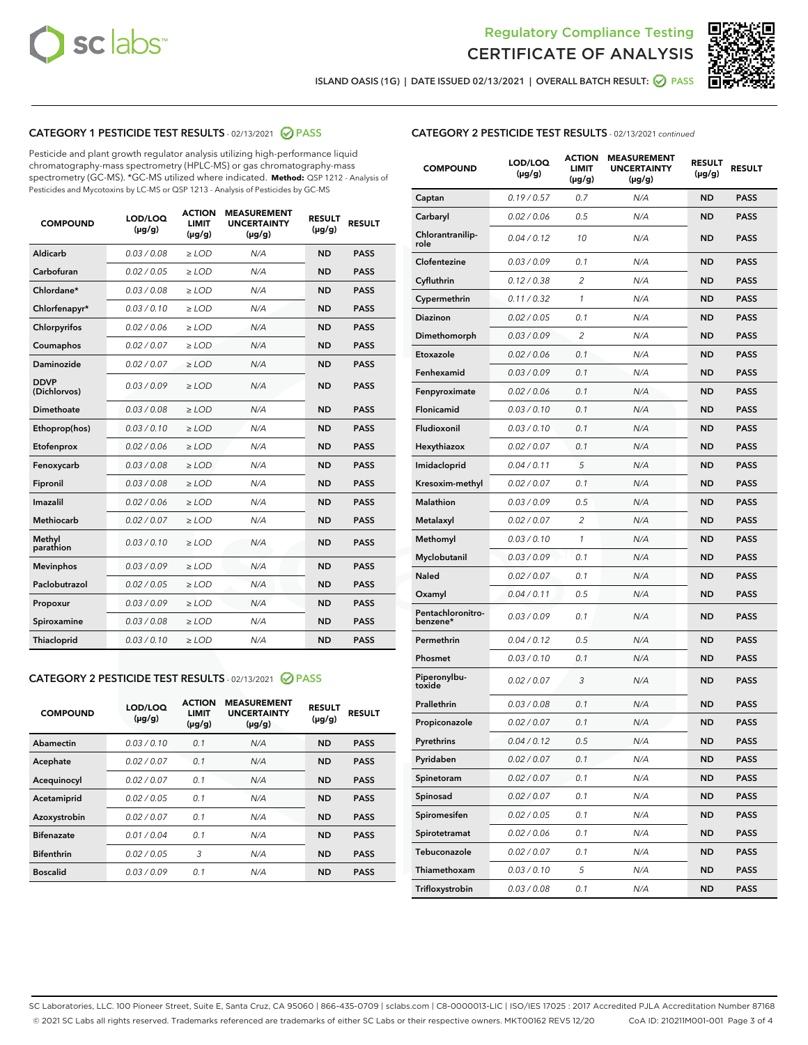



ISLAND OASIS (1G) | DATE ISSUED 02/13/2021 | OVERALL BATCH RESULT: ◯ PASS

# CATEGORY 1 PESTICIDE TEST RESULTS - 02/13/2021 2 PASS

Pesticide and plant growth regulator analysis utilizing high-performance liquid chromatography-mass spectrometry (HPLC-MS) or gas chromatography-mass spectrometry (GC-MS). \*GC-MS utilized where indicated. **Method:** QSP 1212 - Analysis of Pesticides and Mycotoxins by LC-MS or QSP 1213 - Analysis of Pesticides by GC-MS

| <b>COMPOUND</b>             | LOD/LOQ<br>$(\mu g/g)$ | <b>ACTION</b><br><b>LIMIT</b><br>$(\mu g/g)$ | <b>MEASUREMENT</b><br><b>UNCERTAINTY</b><br>$(\mu g/g)$ | <b>RESULT</b><br>$(\mu g/g)$ | <b>RESULT</b> |
|-----------------------------|------------------------|----------------------------------------------|---------------------------------------------------------|------------------------------|---------------|
| Aldicarb                    | 0.03 / 0.08            | $\ge$ LOD                                    | N/A                                                     | <b>ND</b>                    | <b>PASS</b>   |
| Carbofuran                  | 0.02/0.05              | $>$ LOD                                      | N/A                                                     | <b>ND</b>                    | <b>PASS</b>   |
| Chlordane*                  | 0.03 / 0.08            | $\ge$ LOD                                    | N/A                                                     | <b>ND</b>                    | <b>PASS</b>   |
| Chlorfenapyr*               | 0.03/0.10              | $\ge$ LOD                                    | N/A                                                     | <b>ND</b>                    | <b>PASS</b>   |
| Chlorpyrifos                | 0.02 / 0.06            | $\ge$ LOD                                    | N/A                                                     | <b>ND</b>                    | <b>PASS</b>   |
| Coumaphos                   | 0.02 / 0.07            | $\ge$ LOD                                    | N/A                                                     | <b>ND</b>                    | <b>PASS</b>   |
| <b>Daminozide</b>           | 0.02 / 0.07            | $\ge$ LOD                                    | N/A                                                     | <b>ND</b>                    | <b>PASS</b>   |
| <b>DDVP</b><br>(Dichlorvos) | 0.03/0.09              | $\ge$ LOD                                    | N/A                                                     | <b>ND</b>                    | <b>PASS</b>   |
| <b>Dimethoate</b>           | 0.03 / 0.08            | $\ge$ LOD                                    | N/A                                                     | <b>ND</b>                    | <b>PASS</b>   |
| Ethoprop(hos)               | 0.03/0.10              | $\ge$ LOD                                    | N/A                                                     | <b>ND</b>                    | <b>PASS</b>   |
| Etofenprox                  | 0.02 / 0.06            | $\ge$ LOD                                    | N/A                                                     | <b>ND</b>                    | <b>PASS</b>   |
| Fenoxycarb                  | 0.03/0.08              | $\ge$ LOD                                    | N/A                                                     | <b>ND</b>                    | <b>PASS</b>   |
| Fipronil                    | 0.03 / 0.08            | $>$ LOD                                      | N/A                                                     | <b>ND</b>                    | <b>PASS</b>   |
| <b>Imazalil</b>             | 0.02 / 0.06            | $\ge$ LOD                                    | N/A                                                     | <b>ND</b>                    | <b>PASS</b>   |
| <b>Methiocarb</b>           | 0.02 / 0.07            | $\ge$ LOD                                    | N/A                                                     | <b>ND</b>                    | <b>PASS</b>   |
| Methyl<br>parathion         | 0.03/0.10              | $\ge$ LOD                                    | N/A                                                     | <b>ND</b>                    | <b>PASS</b>   |
| <b>Mevinphos</b>            | 0.03/0.09              | $>$ LOD                                      | N/A                                                     | <b>ND</b>                    | <b>PASS</b>   |
| Paclobutrazol               | 0.02 / 0.05            | $\ge$ LOD                                    | N/A                                                     | <b>ND</b>                    | <b>PASS</b>   |
| Propoxur                    | 0.03/0.09              | $>$ LOD                                      | N/A                                                     | <b>ND</b>                    | <b>PASS</b>   |
| Spiroxamine                 | 0.03 / 0.08            | $\ge$ LOD                                    | N/A                                                     | <b>ND</b>                    | <b>PASS</b>   |
| <b>Thiacloprid</b>          | 0.03/0.10              | $\ge$ LOD                                    | N/A                                                     | <b>ND</b>                    | <b>PASS</b>   |

# CATEGORY 2 PESTICIDE TEST RESULTS - 02/13/2021 @ PASS

| <b>COMPOUND</b>   | LOD/LOQ<br>$(\mu g/g)$ | <b>ACTION</b><br><b>LIMIT</b><br>$(\mu g/g)$ | <b>MEASUREMENT</b><br><b>UNCERTAINTY</b><br>$(\mu g/g)$ | <b>RESULT</b><br>$(\mu g/g)$ | <b>RESULT</b> |
|-------------------|------------------------|----------------------------------------------|---------------------------------------------------------|------------------------------|---------------|
| Abamectin         | 0.03/0.10              | 0.1                                          | N/A                                                     | <b>ND</b>                    | <b>PASS</b>   |
| Acephate          | 0.02/0.07              | 0.1                                          | N/A                                                     | <b>ND</b>                    | <b>PASS</b>   |
| Acequinocyl       | 0.02/0.07              | 0.1                                          | N/A                                                     | <b>ND</b>                    | <b>PASS</b>   |
| Acetamiprid       | 0.02/0.05              | 0.1                                          | N/A                                                     | <b>ND</b>                    | <b>PASS</b>   |
| Azoxystrobin      | 0.02/0.07              | 0.1                                          | N/A                                                     | <b>ND</b>                    | <b>PASS</b>   |
| <b>Bifenazate</b> | 0.01/0.04              | 0.1                                          | N/A                                                     | <b>ND</b>                    | <b>PASS</b>   |
| <b>Bifenthrin</b> | 0.02/0.05              | 3                                            | N/A                                                     | <b>ND</b>                    | <b>PASS</b>   |
| <b>Boscalid</b>   | 0.03/0.09              | 0.1                                          | N/A                                                     | <b>ND</b>                    | <b>PASS</b>   |

# CATEGORY 2 PESTICIDE TEST RESULTS - 02/13/2021 continued

| <b>COMPOUND</b>               | <b>LOD/LOQ</b><br>$(\mu g/g)$ | <b>ACTION</b><br>LIMIT<br>$(\mu g/g)$ | <b>MEASUREMENT</b><br><b>UNCERTAINTY</b><br>(µg/g) | <b>RESULT</b><br>(µg/g) | <b>RESULT</b> |
|-------------------------------|-------------------------------|---------------------------------------|----------------------------------------------------|-------------------------|---------------|
| Captan                        | 0.19/0.57                     | 0.7                                   | N/A                                                | <b>ND</b>               | <b>PASS</b>   |
| Carbaryl                      | 0.02 / 0.06                   | 0.5                                   | N/A                                                | ND                      | <b>PASS</b>   |
| Chlorantranilip-<br>role      | 0.04 / 0.12                   | 10                                    | N/A                                                | <b>ND</b>               | <b>PASS</b>   |
| Clofentezine                  | 0.03 / 0.09                   | 0.1                                   | N/A                                                | ND                      | <b>PASS</b>   |
| Cyfluthrin                    | 0.12 / 0.38                   | $\overline{2}$                        | N/A                                                | ND                      | <b>PASS</b>   |
| Cypermethrin                  | 0.11 / 0.32                   | 1                                     | N/A                                                | ND                      | <b>PASS</b>   |
| <b>Diazinon</b>               | 0.02 / 0.05                   | 0.1                                   | N/A                                                | ND                      | <b>PASS</b>   |
| Dimethomorph                  | 0.03 / 0.09                   | 2                                     | N/A                                                | <b>ND</b>               | <b>PASS</b>   |
| Etoxazole                     | 0.02 / 0.06                   | 0.1                                   | N/A                                                | ND                      | <b>PASS</b>   |
| Fenhexamid                    | 0.03 / 0.09                   | 0.1                                   | N/A                                                | ND                      | <b>PASS</b>   |
| Fenpyroximate                 | 0.02 / 0.06                   | 0.1                                   | N/A                                                | <b>ND</b>               | <b>PASS</b>   |
| Flonicamid                    | 0.03 / 0.10                   | 0.1                                   | N/A                                                | ND                      | <b>PASS</b>   |
| Fludioxonil                   | 0.03/0.10                     | 0.1                                   | N/A                                                | ND                      | <b>PASS</b>   |
| Hexythiazox                   | 0.02 / 0.07                   | 0.1                                   | N/A                                                | <b>ND</b>               | <b>PASS</b>   |
| Imidacloprid                  | 0.04 / 0.11                   | 5                                     | N/A                                                | ND                      | <b>PASS</b>   |
| Kresoxim-methyl               | 0.02 / 0.07                   | 0.1                                   | N/A                                                | ND                      | <b>PASS</b>   |
| <b>Malathion</b>              | 0.03 / 0.09                   | 0.5                                   | N/A                                                | ND                      | <b>PASS</b>   |
| Metalaxyl                     | 0.02 / 0.07                   | 2                                     | N/A                                                | ND                      | <b>PASS</b>   |
| Methomyl                      | 0.03 / 0.10                   | 1                                     | N/A                                                | ND                      | <b>PASS</b>   |
| Myclobutanil                  | 0.03 / 0.09                   | 0.1                                   | N/A                                                | <b>ND</b>               | <b>PASS</b>   |
| <b>Naled</b>                  | 0.02 / 0.07                   | 0.1                                   | N/A                                                | ND                      | <b>PASS</b>   |
| Oxamyl                        | 0.04 / 0.11                   | 0.5                                   | N/A                                                | ND                      | <b>PASS</b>   |
| Pentachloronitro-<br>benzene* | 0.03 / 0.09                   | 0.1                                   | N/A                                                | ND                      | <b>PASS</b>   |
| Permethrin                    | 0.04 / 0.12                   | 0.5                                   | N/A                                                | ND                      | <b>PASS</b>   |
| Phosmet                       | 0.03 / 0.10                   | 0.1                                   | N/A                                                | ND                      | <b>PASS</b>   |
| Piperonylbu-<br>toxide        | 0.02 / 0.07                   | 3                                     | N/A                                                | <b>ND</b>               | <b>PASS</b>   |
| Prallethrin                   | 0.03 / 0.08                   | 0.1                                   | N/A                                                | <b>ND</b>               | <b>PASS</b>   |
| Propiconazole                 | 0.02 / 0.07                   | 0.1                                   | N/A                                                | <b>ND</b>               | <b>PASS</b>   |
| Pyrethrins                    | 0.04 / 0.12                   | 0.5                                   | N/A                                                | ND                      | PASS          |
| Pyridaben                     | 0.02 / 0.07                   | 0.1                                   | N/A                                                | <b>ND</b>               | <b>PASS</b>   |
| Spinetoram                    | 0.02 / 0.07                   | 0.1                                   | N/A                                                | <b>ND</b>               | <b>PASS</b>   |
| Spinosad                      | 0.02 / 0.07                   | 0.1                                   | N/A                                                | ND                      | <b>PASS</b>   |
| Spiromesifen                  | 0.02 / 0.05                   | 0.1                                   | N/A                                                | <b>ND</b>               | <b>PASS</b>   |
| Spirotetramat                 | 0.02 / 0.06                   | 0.1                                   | N/A                                                | <b>ND</b>               | <b>PASS</b>   |
| Tebuconazole                  | 0.02 / 0.07                   | 0.1                                   | N/A                                                | ND                      | <b>PASS</b>   |
| Thiamethoxam                  | 0.03 / 0.10                   | 5                                     | N/A                                                | <b>ND</b>               | <b>PASS</b>   |
| Trifloxystrobin               | 0.03 / 0.08                   | 0.1                                   | N/A                                                | <b>ND</b>               | <b>PASS</b>   |